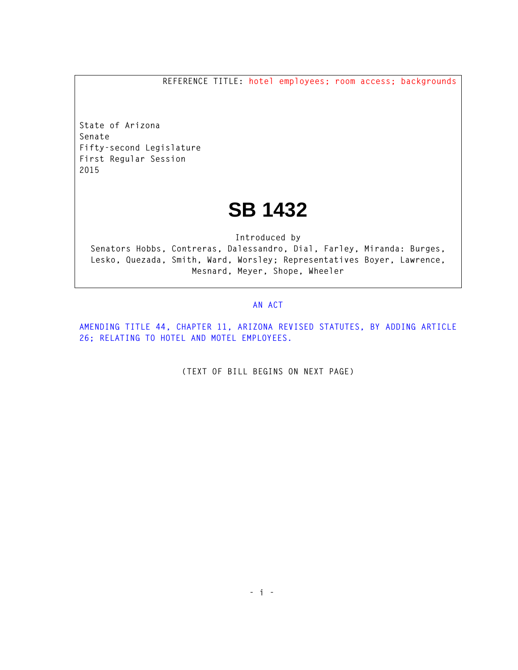**REFERENCE TITLE: hotel employees; room access; backgrounds**

**State of Arizona Senate Fifty-second Legislature First Regular Session 2015** 

## **SB 1432**

**Introduced by Senators Hobbs, Contreras, Dalessandro, Dial, Farley, Miranda: Burges, Lesko, Quezada, Smith, Ward, Worsley; Representatives Boyer, Lawrence, Mesnard, Meyer, Shope, Wheeler** 

## **AN ACT**

**AMENDING TITLE 44, CHAPTER 11, ARIZONA REVISED STATUTES, BY ADDING ARTICLE 26; RELATING TO HOTEL AND MOTEL EMPLOYEES.** 

**(TEXT OF BILL BEGINS ON NEXT PAGE)**